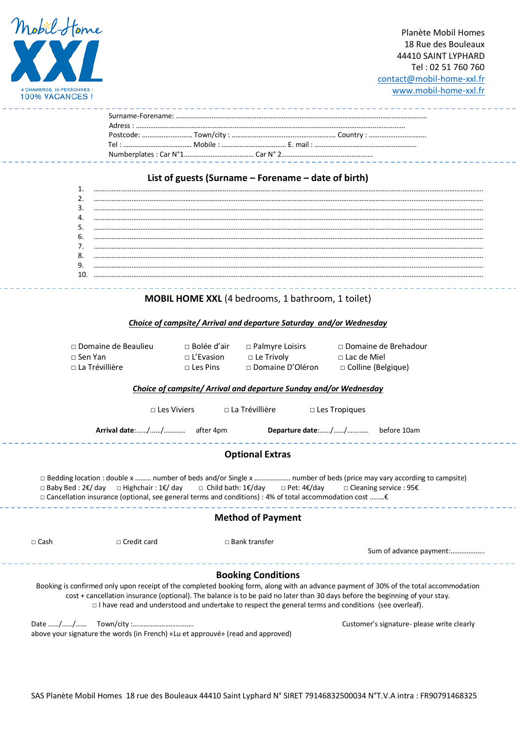

-----------

----------

# **List of guests (Surname – Forename – date of birth)**

| b. |  |
|----|--|
|    |  |
| 8. |  |
| 9. |  |
|    |  |
|    |  |

# **MOBIL HOME XXL** (4 bedrooms, 1 bathroom, 1 toilet)

# *Choice of campsite/ Arrival and departure Saturday and/or Wednesday*

| $\Box$ Domaine de Beaulieu | $\Box$ Bolée d'air | □ Palmyre Loisirs  | □ Domaine de Brehadour    |
|----------------------------|--------------------|--------------------|---------------------------|
| $\Box$ Sen Yan             | $\sqcap$ L'Evasion | $\Box$ Le Trivoly  | $\Box$ Lac de Miel        |
| $\Box$ La Trévillière      | $\sqcap$ Les Pins  | □ Domaine D'Oléron | $\Box$ Colline (Belgique) |

# *Choice of campsite/ Arrival and departure Sunday and/or Wednesday*

|                                                                                                                                                                                                                                                                                                                                                                                   | $\Box$ Les Viviers | $\Box$ La Trévillière     | $\Box$ Les Tropiques                                                                                                                                                                                                                        |                                                                                                                                       |  |  |  |
|-----------------------------------------------------------------------------------------------------------------------------------------------------------------------------------------------------------------------------------------------------------------------------------------------------------------------------------------------------------------------------------|--------------------|---------------------------|---------------------------------------------------------------------------------------------------------------------------------------------------------------------------------------------------------------------------------------------|---------------------------------------------------------------------------------------------------------------------------------------|--|--|--|
|                                                                                                                                                                                                                                                                                                                                                                                   |                    |                           |                                                                                                                                                                                                                                             |                                                                                                                                       |  |  |  |
| <b>Optional Extras</b>                                                                                                                                                                                                                                                                                                                                                            |                    |                           |                                                                                                                                                                                                                                             |                                                                                                                                       |  |  |  |
| □ Bedding location : double x  number of beds and/or Single x  number of beds (price may vary according to campsite)<br>$\Box$ Baby Bed : 2€/ day $\Box$ Highchair : 1€/ day $\Box$ Child bath: 1€/day $\Box$ Pet: 4€/day $\Box$ Cleaning service : 95€<br>$\Box$ Cancellation insurance (optional, see general terms and conditions) : 4% of total accommodation cost $\epsilon$ |                    |                           |                                                                                                                                                                                                                                             |                                                                                                                                       |  |  |  |
| <b>Method of Payment</b>                                                                                                                                                                                                                                                                                                                                                          |                    |                           |                                                                                                                                                                                                                                             |                                                                                                                                       |  |  |  |
| $\Box$ Cash                                                                                                                                                                                                                                                                                                                                                                       | $\Box$ Credit card | $\Box$ Bank transfer      |                                                                                                                                                                                                                                             | Sum of advance payment:                                                                                                               |  |  |  |
|                                                                                                                                                                                                                                                                                                                                                                                   |                    | <b>Booking Conditions</b> | cost + cancellation insurance (optional). The balance is to be paid no later than 30 days before the beginning of your stay.<br>$\Box$ I have read and understood and undertake to respect the general terms and conditions (see overleaf). | Booking is confirmed only upon receipt of the completed booking form, along with an advance payment of 30% of the total accommodation |  |  |  |

Date ……/……/…… Town/city :……………………………. Customer's signature- please write clearly above your signature the words (in French) «Lu et approuvé» (read and approved)